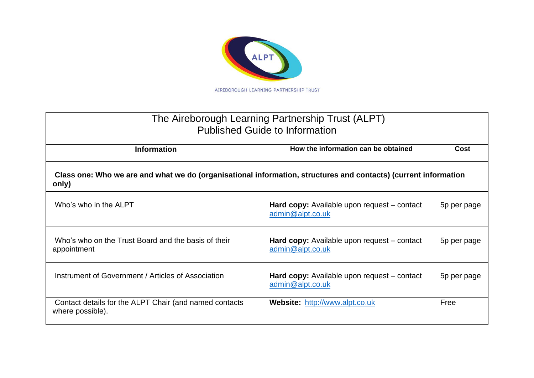

| The Aireborough Learning Partnership Trust (ALPT)<br><b>Published Guide to Information</b>                               |                                                                        |             |  |
|--------------------------------------------------------------------------------------------------------------------------|------------------------------------------------------------------------|-------------|--|
| <b>Information</b>                                                                                                       | How the information can be obtained                                    | Cost        |  |
| Class one: Who we are and what we do (organisational information, structures and contacts) (current information<br>only) |                                                                        |             |  |
| Who's who in the ALPT                                                                                                    | <b>Hard copy:</b> Available upon request – contact<br>admin@alpt.co.uk | 5p per page |  |
| Who's who on the Trust Board and the basis of their<br>appointment                                                       | <b>Hard copy:</b> Available upon request – contact<br>admin@alpt.co.uk | 5p per page |  |
| Instrument of Government / Articles of Association                                                                       | <b>Hard copy:</b> Available upon request – contact<br>admin@alpt.co.uk | 5p per page |  |
| Contact details for the ALPT Chair (and named contacts<br>where possible).                                               | Website: http://www.alpt.co.uk                                         | Free        |  |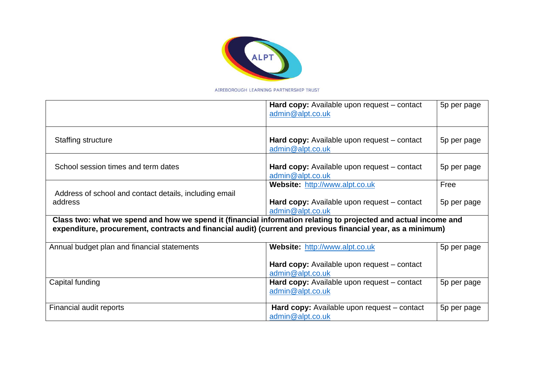

|                                                                                                                                                                                                                                 | Hard copy: Available upon request – contact<br>admin@alpt.co.uk        | 5p per page |
|---------------------------------------------------------------------------------------------------------------------------------------------------------------------------------------------------------------------------------|------------------------------------------------------------------------|-------------|
| <b>Staffing structure</b>                                                                                                                                                                                                       | Hard copy: Available upon request – contact<br>admin@alpt.co.uk        | 5p per page |
| School session times and term dates                                                                                                                                                                                             | <b>Hard copy:</b> Available upon request – contact<br>admin@alpt.co.uk | 5p per page |
| Address of school and contact details, including email                                                                                                                                                                          | Website: http://www.alpt.co.uk                                         | Free        |
| address                                                                                                                                                                                                                         | Hard copy: Available upon request – contact<br>admin@alpt.co.uk        | 5p per page |
| Class two: what we spend and how we spend it (financial information relating to projected and actual income and<br>expenditure, procurement, contracts and financial audit) (current and previous financial year, as a minimum) |                                                                        |             |
| Annual budget plan and financial statements                                                                                                                                                                                     | Website: http://www.alpt.co.uk                                         | 5p per page |
|                                                                                                                                                                                                                                 | Hard copy: Available upon request – contact<br>admin@alpt.co.uk        |             |
| Capital funding                                                                                                                                                                                                                 | Hard copy: Available upon request – contact<br>admin@alpt.co.uk        | 5p per page |
| Financial audit reports                                                                                                                                                                                                         | Hard copy: Available upon request – contact<br>admin@alpt.co.uk        | 5p per page |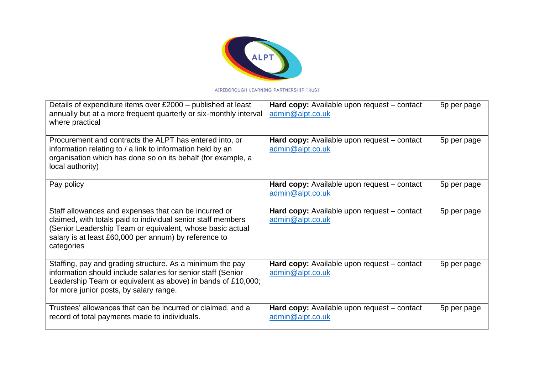

| Details of expenditure items over £2000 – published at least<br>annually but at a more frequent quarterly or six-monthly interval<br>where practical                                                                                                      | Hard copy: Available upon request - contact<br>admin@alpt.co.uk        | 5p per page |
|-----------------------------------------------------------------------------------------------------------------------------------------------------------------------------------------------------------------------------------------------------------|------------------------------------------------------------------------|-------------|
| Procurement and contracts the ALPT has entered into, or<br>information relating to / a link to information held by an<br>organisation which has done so on its behalf (for example, a<br>local authority)                                                 | <b>Hard copy:</b> Available upon request – contact<br>admin@alpt.co.uk | 5p per page |
| Pay policy                                                                                                                                                                                                                                                | Hard copy: Available upon request - contact<br>admin@alpt.co.uk        | 5p per page |
| Staff allowances and expenses that can be incurred or<br>claimed, with totals paid to individual senior staff members<br>(Senior Leadership Team or equivalent, whose basic actual<br>salary is at least £60,000 per annum) by reference to<br>categories | Hard copy: Available upon request - contact<br>admin@alpt.co.uk        | 5p per page |
| Staffing, pay and grading structure. As a minimum the pay<br>information should include salaries for senior staff (Senior<br>Leadership Team or equivalent as above) in bands of £10,000;<br>for more junior posts, by salary range.                      | Hard copy: Available upon request – contact<br>admin@alpt.co.uk        | 5p per page |
| Trustees' allowances that can be incurred or claimed, and a<br>record of total payments made to individuals.                                                                                                                                              | Hard copy: Available upon request - contact<br>admin@alpt.co.uk        | 5p per page |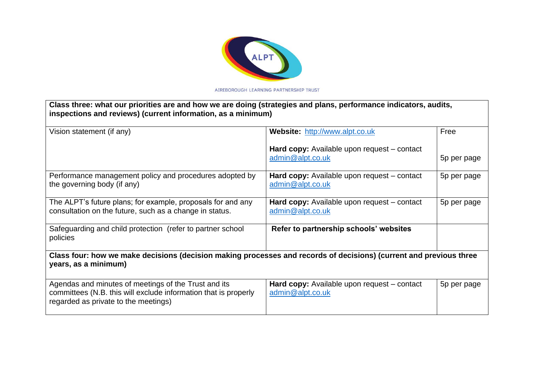

| Class three: what our priorities are and how we are doing (strategies and plans, performance indicators, audits,<br>inspections and reviews) (current information, as a minimum) |                                                                        |             |  |
|----------------------------------------------------------------------------------------------------------------------------------------------------------------------------------|------------------------------------------------------------------------|-------------|--|
| Vision statement (if any)                                                                                                                                                        | Website: http://www.alpt.co.uk                                         | Free        |  |
|                                                                                                                                                                                  | Hard copy: Available upon request – contact<br>admin@alpt.co.uk        | 5p per page |  |
| Performance management policy and procedures adopted by<br>the governing body (if any)                                                                                           | Hard copy: Available upon request - contact<br>admin@alpt.co.uk        | 5p per page |  |
| The ALPT's future plans; for example, proposals for and any<br>consultation on the future, such as a change in status.                                                           | Hard copy: Available upon request – contact<br>admin@alpt.co.uk        | 5p per page |  |
| Safeguarding and child protection (refer to partner school<br>policies                                                                                                           | Refer to partnership schools' websites                                 |             |  |
| Class four: how we make decisions (decision making processes and records of decisions) (current and previous three<br>years, as a minimum)                                       |                                                                        |             |  |
| Agendas and minutes of meetings of the Trust and its<br>committees (N.B. this will exclude information that is properly<br>regarded as private to the meetings)                  | <b>Hard copy:</b> Available upon request – contact<br>admin@alpt.co.uk | 5p per page |  |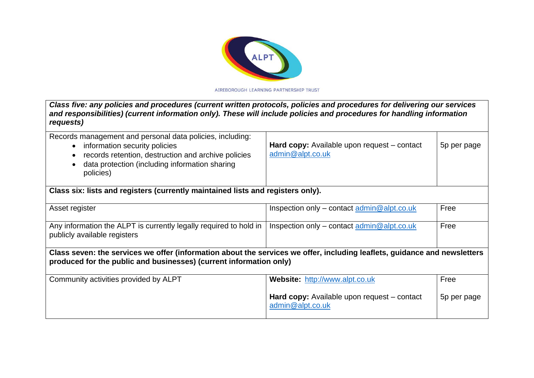

| Class five: any policies and procedures (current written protocols, policies and procedures for delivering our services<br>and responsibilities) (current information only). These will include policies and procedures for handling information<br>requests) |                                                                   |             |  |
|---------------------------------------------------------------------------------------------------------------------------------------------------------------------------------------------------------------------------------------------------------------|-------------------------------------------------------------------|-------------|--|
| Records management and personal data policies, including:<br>• information security policies<br>records retention, destruction and archive policies<br>data protection (including information sharing<br>policies)                                            | Hard copy: Available upon request – contact<br>admin@alpt.co.uk   | 5p per page |  |
| Class six: lists and registers (currently maintained lists and registers only).                                                                                                                                                                               |                                                                   |             |  |
| Asset register                                                                                                                                                                                                                                                | Inspection only – contact admin@alpt.co.uk                        | Free        |  |
| Any information the ALPT is currently legally required to hold in<br>publicly available registers                                                                                                                                                             | Inspection only – contact $\underline{\text{admin}} @$ alpt.co.uk | Free        |  |
| Class seven: the services we offer (information about the services we offer, including leaflets, guidance and newsletters<br>produced for the public and businesses) (current information only)                                                               |                                                                   |             |  |
| Community activities provided by ALPT                                                                                                                                                                                                                         | Website: http://www.alpt.co.uk                                    | Free        |  |
|                                                                                                                                                                                                                                                               | Hard copy: Available upon request – contact<br>admin@alpt.co.uk   | 5p per page |  |